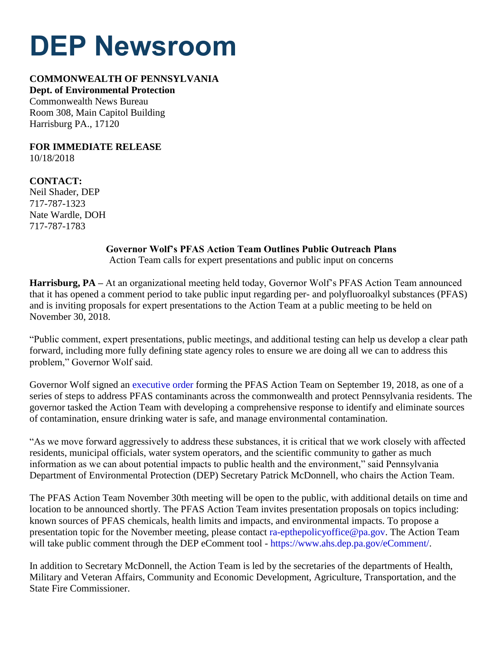## **DEP Newsroom**

## **COMMONWEALTH OF PENNSYLVANIA**

**Dept. of Environmental Protection** Commonwealth News Bureau Room 308, Main Capitol Building Harrisburg PA., 17120

**FOR IMMEDIATE RELEASE** 10/18/2018

**CONTACT:** Neil Shader, DEP 717-787-1323 Nate Wardle, DOH 717-787-1783

## **Governor Wolf's PFAS Action Team Outlines Public Outreach Plans**

Action Team calls for expert presentations and public input on concerns

**Harrisburg, PA –** At an organizational meeting held today, Governor Wolf's PFAS Action Team announced that it has opened a comment period to take public input regarding per- and polyfluoroalkyl substances (PFAS) and is inviting proposals for expert presentations to the Action Team at a public meeting to be held on November 30, 2018.

"Public comment, expert presentations, public meetings, and additional testing can help us develop a clear path forward, including more fully defining state agency roles to ensure we are doing all we can to address this problem," Governor Wolf said.

Governor Wolf signed an [executive order](https://www.governor.pa.gov/wp-content/uploads/2018/09/20180919-Executive-Order-PFAS.pdf) forming the PFAS Action Team on September 19, 2018, as one of a series of steps to address PFAS contaminants across the commonwealth and protect Pennsylvania residents. The governor tasked the Action Team with developing a comprehensive response to identify and eliminate sources of contamination, ensure drinking water is safe, and manage environmental contamination.

"As we move forward aggressively to address these substances, it is critical that we work closely with affected residents, municipal officials, water system operators, and the scientific community to gather as much information as we can about potential impacts to public health and the environment," said Pennsylvania Department of Environmental Protection (DEP) Secretary Patrick McDonnell, who chairs the Action Team.

The PFAS Action Team November 30th meeting will be open to the public, with additional details on time and location to be announced shortly. The PFAS Action Team invites presentation proposals on topics including: known sources of PFAS chemicals, health limits and impacts, and environmental impacts. To propose a presentation topic for the November meeting, please contact [ra-epthepolicyoffice@pa.gov.](mailto:ra-epthepolicyoffice@pa.gov) The Action Team will take public comment through the DEP eComment tool - [https://www.ahs.dep.pa.gov/eComment/.](https://www.ahs.dep.pa.gov/eComment/)

In addition to Secretary McDonnell, the Action Team is led by the secretaries of the departments of Health, Military and Veteran Affairs, Community and Economic Development, Agriculture, Transportation, and the State Fire Commissioner.